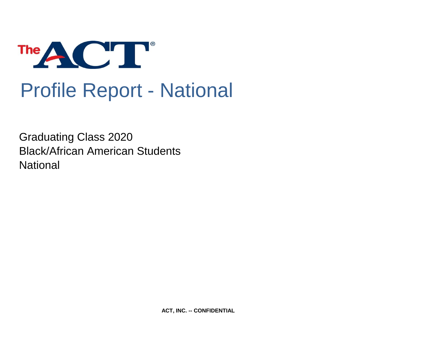

# Profile Report - National

Graduating Class 2020 Black/African American Students **National** 

**ACT, INC. -- CONFIDENTIAL**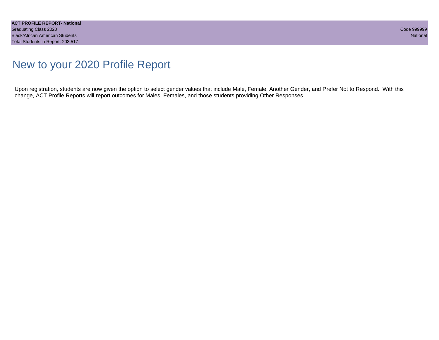### New to your 2020 Profile Report

Upon registration, students are now given the option to select gender values that include Male, Female, Another Gender, and Prefer Not to Respond. With this change, ACT Profile Reports will report outcomes for Males, Females, and those students providing Other Responses.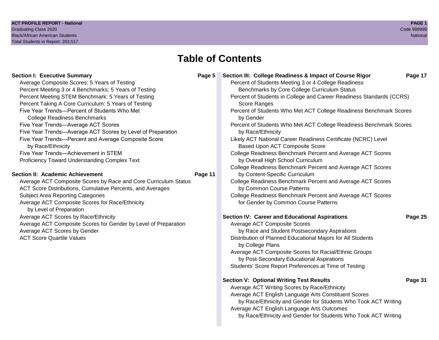### **Table of Contents**

| <b>Section I: Executive Summary</b>                             | Page 5  | Section III: College Readiness & Impact of Course Rigor                         | Page 17 |
|-----------------------------------------------------------------|---------|---------------------------------------------------------------------------------|---------|
| Average Composite Scores: 5 Years of Testing                    |         | Percent of Students Meeting 3 or 4 College Readiness                            |         |
| Percent Meeting 3 or 4 Benchmarks: 5 Years of Testing           |         | Benchmarks by Core College Curriculum Status                                    |         |
| Percent Meeting STEM Benchmark: 5 Years of Testing              |         | Percent of Students in College and Career Readiness Standards (CCRS)            |         |
| Percent Taking A Core Curriculum: 5 Years of Testing            |         | Score Ranges                                                                    |         |
| Five Year Trends-Percent of Students Who Met                    |         | Percent of Students Who Met ACT College Readiness Benchmark Scores              |         |
| <b>College Readiness Benchmarks</b>                             |         | by Gender                                                                       |         |
| Five Year Trends-Average ACT Scores                             |         | Percent of Students Who Met ACT College Readiness Benchmark Scores              |         |
| Five Year Trends-Average ACT Scores by Level of Preparation     |         | by Race/Ethnicity                                                               |         |
| Five Year Trends-Percent and Average Composite Score            |         | Likely ACT National Career Readiness Certificate (NCRC) Level                   |         |
| by Race/Ethnicity                                               |         | Based Upon ACT Composite Score                                                  |         |
| Five Year Trends-Achievement in STEM                            |         | College Readiness Benchmark Percent and Average ACT Scores                      |         |
| Proficiency Toward Understanding Complex Text                   |         | by Overall High School Curriculum                                               |         |
|                                                                 |         | College Readiness Benchmark Percent and Average ACT Scores                      |         |
| <b>Section II: Academic Achievement</b>                         | Page 11 | by Content-Specific Curriculum                                                  |         |
| Average ACT Composite Scores by Race and Core Curriculum Status |         | College Readiness Benchmark Percent and Average ACT Scores                      |         |
| ACT Score Distributions, Cumulative Percents, and Averages      |         | by Common Course Patterns                                                       |         |
| <b>Subject Area Reporting Categories</b>                        |         | College Readiness Benchmark Percent and Average ACT Scores                      |         |
| Average ACT Composite Scores for Race/Ethnicity                 |         | for Gender by Common Course Patterns                                            |         |
| by Level of Preparation                                         |         |                                                                                 |         |
| Average ACT Scores by Race/Ethnicity                            |         | <b>Section IV: Career and Educational Aspirations</b>                           | Page 25 |
| Average ACT Composite Scores for Gender by Level of Preparation |         | Average ACT Composite Scores                                                    |         |
| Average ACT Scores by Gender                                    |         | by Race and Student Postsecondary Aspirations                                   |         |
| <b>ACT Score Quartile Values</b>                                |         | Distribution of Planned Educational Majors for All Students<br>by College Plans |         |
|                                                                 |         | Average ACT Composite Scores for Racial/Ethnic Groups                           |         |
|                                                                 |         | by Post-Secondary Educational Aspirations                                       |         |
|                                                                 |         | Students' Score Report Preferences at Time of Testing                           |         |
|                                                                 |         | <b>Section V: Optional Writing Test Results</b>                                 | Page 31 |
|                                                                 |         | Average ACT Writing Scores by Race/Ethnicity                                    |         |
|                                                                 |         | Average ACT English Language Arts Constituent Scores                            |         |
|                                                                 |         | by Race/Ethnicity and Gender for Students Who Took ACT Writing                  |         |
|                                                                 |         | Average ACT English Language Arts Outcomes                                      |         |

by Race/Ethnicity and Gender for Students Who Took ACT Writing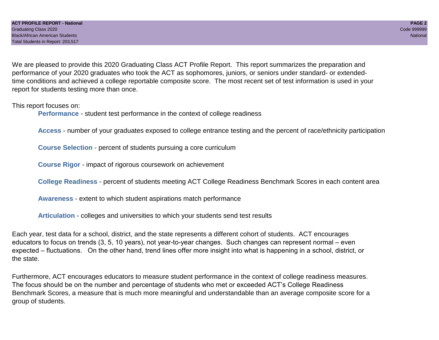We are pleased to provide this 2020 Graduating Class ACT Profile Report. This report summarizes the preparation and performance of your 2020 graduates who took the ACT as sophomores, juniors, or seniors under standard- or extendedtime conditions and achieved a college reportable composite score. The most recent set of test information is used in your report for students testing more than once.

This report focuses on:

**Performance** - student test performance in the context of college readiness

**Access** - number of your graduates exposed to college entrance testing and the percent of race/ethnicity participation

**Course Selection** - percent of students pursuing a core curriculum

**Course Rigor** - impact of rigorous coursework on achievement

**College Readiness** - percent of students meeting ACT College Readiness Benchmark Scores in each content area

**Awareness** - extent to which student aspirations match performance

**Articulation** - colleges and universities to which your students send test results

Each year, test data for a school, district, and the state represents a different cohort of students. ACT encourages educators to focus on trends (3, 5, 10 years), not year-to-year changes. Such changes can represent normal – even expected – fluctuations. On the other hand, trend lines offer more insight into what is happening in a school, district, or the state.

Furthermore, ACT encourages educators to measure student performance in the context of college readiness measures. The focus should be on the number and percentage of students who met or exceeded ACT's College Readiness Benchmark Scores, a measure that is much more meaningful and understandable than an average composite score for a group of students.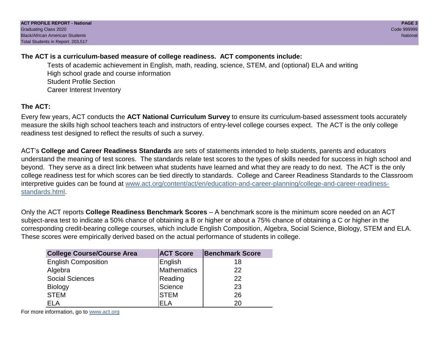#### **The ACT is a curriculum-based measure of college readiness. ACT components include:**

Tests of academic achievement in English, math, reading, science, STEM, and (optional) ELA and writing High school grade and course information Student Profile Section Career Interest Inventory

### **The ACT:**

Every few years, ACT conducts the **ACT National Curriculum Survey** to ensure its curriculum-based assessment tools accurately measure the skills high school teachers teach and instructors of entry-level college courses expect. The ACT is the only college readiness test designed to reflect the results of such a survey.

ACT's **College and Career Readiness Standards** are sets of statements intended to help students, parents and educators understand the meaning of test scores. The standards relate test scores to the types of skills needed for success in high school and beyond. They serve as a direct link between what students have learned and what they are ready to do next. The ACT is the only college readiness test for which scores can be tied directly to standards. College and Career Readiness Standards to the Classroom interpretive guides can be found at www.act.org/content/act/en/education-and-career-planning/college-and-career-readinessstandards.html.

Only the ACT reports **College Readiness Benchmark Scores** – A benchmark score is the minimum score needed on an ACT subject-area test to indicate a 50% chance of obtaining a B or higher or about a 75% chance of obtaining a C or higher in the corresponding credit-bearing college courses, which include English Composition, Algebra, Social Science, Biology, STEM and ELA. These scores were empirically derived based on the actual performance of students in college.

| <b>College Course/Course Area</b> | <b>ACT Score</b> | <b>Benchmark Score</b> |
|-----------------------------------|------------------|------------------------|
| <b>English Composition</b>        | English          | 18                     |
| Algebra                           | Mathematics      | 22                     |
| <b>Social Sciences</b>            | Reading          | 22                     |
| <b>Biology</b>                    | Science          | 23                     |
| <b>STEM</b>                       | <b>STEM</b>      | 26                     |
| ELA                               | FI A             | 20                     |

For more information, go to www.act.org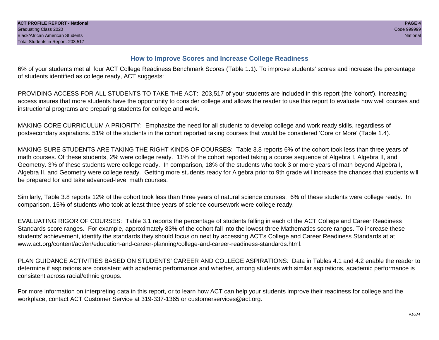#### **How to Improve Scores and Increase College Readiness**

6% of your students met all four ACT College Readiness Benchmark Scores (Table 1.1). To improve students' scores and increase the percentage of students identified as college ready, ACT suggests:

PROVIDING ACCESS FOR ALL STUDENTS TO TAKE THE ACT: 203,517 of your students are included in this report (the 'cohort'). Increasing access insures that more students have the opportunity to consider college and allows the reader to use this report to evaluate how well courses and instructional programs are preparing students for college and work.

MAKING CORE CURRICULUM A PRIORITY: Emphasize the need for all students to develop college and work ready skills, regardless of postsecondary aspirations. 51% of the students in the cohort reported taking courses that would be considered 'Core or More' (Table 1.4).

MAKING SURE STUDENTS ARE TAKING THE RIGHT KINDS OF COURSES: Table 3.8 reports 6% of the cohort took less than three years of math courses. Of these students, 2% were college ready. 11% of the cohort reported taking a course sequence of Algebra I, Algebra II, and Geometry. 3% of these students were college ready. In comparison, 18% of the students who took 3 or more years of math beyond Algebra I, Algebra II, and Geometry were college ready. Getting more students ready for Algebra prior to 9th grade will increase the chances that students will be prepared for and take advanced-level math courses.

Similarly, Table 3.8 reports 12% of the cohort took less than three years of natural science courses. 6% of these students were college ready. In comparison, 15% of students who took at least three years of science coursework were college ready.

EVALUATING RIGOR OF COURSES: Table 3.1 reports the percentage of students falling in each of the ACT College and Career Readiness Standards score ranges. For example, approximately 83% of the cohort fall into the lowest three Mathematics score ranges. To increase these students' achievement, identify the standards they should focus on next by accessing ACT's College and Career Readiness Standards at at www.act.org/content/act/en/education-and-career-planning/college-and-career-readiness-standards.html.

PLAN GUIDANCE ACTIVITIES BASED ON STUDENTS' CAREER AND COLLEGE ASPIRATIONS: Data in Tables 4.1 and 4.2 enable the reader to determine if aspirations are consistent with academic performance and whether, among students with similar aspirations, academic performance is consistent across racial/ethnic groups.

For more information on interpreting data in this report, or to learn how ACT can help your students improve their readiness for college and the workplace, contact ACT Customer Service at 319-337-1365 or customerservices@act.org.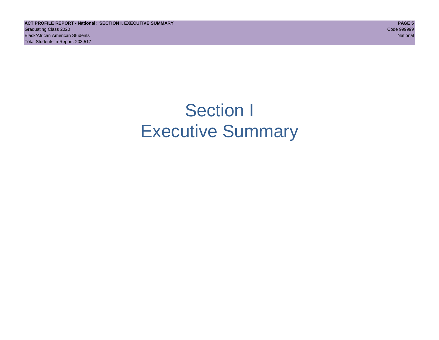### Section I Executive Summary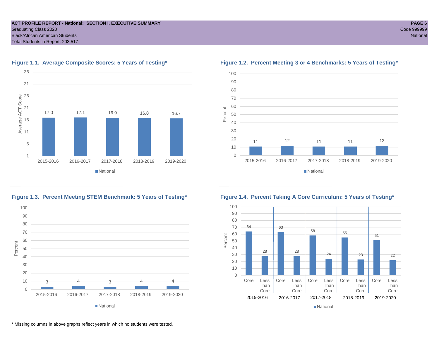#### **ACT PROFILE REPORT - National: SECTION I, EXECUTIVE SUMMARY PAGE 6** Graduating Class 2020 Code 999999 **Black/African American Students** National American Students National American American Students National American Students National American Students National American Students National American Students National American Total Students in Report: 203,517







#### **Figure 1.3. Percent Meeting STEM Benchmark: 5 Years of Testing\* Figure 1.4. Percent Taking A Core Curriculum: 5 Years of Testing\***



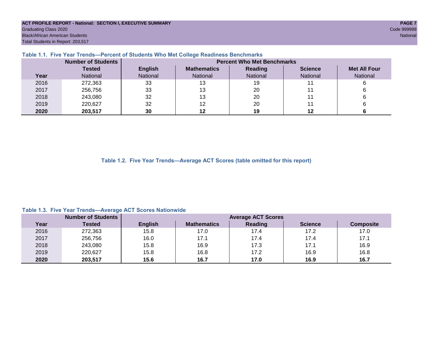#### **ACT PROFILE REPORT - National: SECTION I, EXECUTIVE SUMMARY PAGE 7** Code 999999 Code 9999999 Code 9999999 Code 999999 Code 999999 Code 999999 Code 300 Code 999999 Code 300 Code 300 Code 300 Code 300 Code 300 Code 300 Code 300 Code 300 Code 300 Code 300 Code 300 Code 300 Code 300 Code 300 C

**Black/African American Students National American Control of Control of Control of Control of Control of Control of Control of Control of Control of Control of Control of Control of Control of Control of Control of Contro** Total Students in Report: 203,517

#### **Table 1.1. Five Year Trends—Percent of Students Who Met College Readiness Benchmarks**

|      | <b>Number of Students</b> |                 | <b>Percent Who Met Benchmarks</b> |          |                |                     |
|------|---------------------------|-----------------|-----------------------------------|----------|----------------|---------------------|
|      | <b>Tested</b>             | <b>English</b>  | <b>Mathematics</b>                | Reading  | <b>Science</b> | <b>Met All Four</b> |
| Year | <b>National</b>           | <b>National</b> | National                          | National | National       | <b>National</b>     |
| 2016 | 272,363                   | 33              | 13                                | 19       | 11             | 6                   |
| 2017 | 256,756                   | 33              | 13                                | 20       |                | 6                   |
| 2018 | 243,080                   | 32              | 13                                | 20       |                | 6                   |
| 2019 | 220,627                   | 32              | 12                                | 20       | 11             | 6                   |
| 2020 | 203,517                   | 30              | 12                                | 19       | 12             |                     |

**Table 1.2. Five Year Trends—Average ACT Scores (table omitted for this report)**

#### **Table 1.3. Five Year Trends—Average ACT Scores Nationwide**

|      | <b>Number of Students</b> | <b>Average ACT Scores</b> |                    |                |                |                  |  |  |  |
|------|---------------------------|---------------------------|--------------------|----------------|----------------|------------------|--|--|--|
| Year | <b>Tested</b>             | <b>English</b>            | <b>Mathematics</b> | <b>Reading</b> | <b>Science</b> | <b>Composite</b> |  |  |  |
| 2016 | 272,363                   | 15.8                      | 17.0               | 17.4           | 17.2           | 17.0             |  |  |  |
| 2017 | 256,756                   | 16.0                      | 17.1               | 17.4           | 17.4           | 17.1             |  |  |  |
| 2018 | 243,080                   | 15.8                      | 16.9               | 17.3           | 17.1           | 16.9             |  |  |  |
| 2019 | 220,627                   | 15.8                      | 16.8               | 17.2           | 16.9           | 16.8             |  |  |  |
| 2020 | 203,517                   | 15.6                      | 16.7               | 17.0           | 16.9           | 16.7             |  |  |  |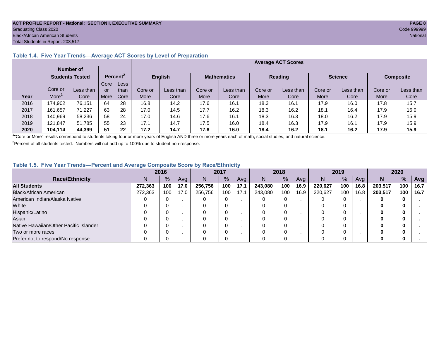#### **ACT PROFILE REPORT - National: SECTION I, EXECUTIVE SUMMARY PAGE 8** Graduating Class 2020 Code 999999

**Black/African American Students** National American Control of the Control of the Control of the Control of the Control of the Control of the Control of the Control of the Control of the Control of the Control of the Contr

Total Students in Report: 203,517

|      |         |                        |      |                      | <b>Average ACT Scores</b>            |           |         |           |             |                |                |           |                  |           |
|------|---------|------------------------|------|----------------------|--------------------------------------|-----------|---------|-----------|-------------|----------------|----------------|-----------|------------------|-----------|
|      |         | Number of              |      |                      |                                      |           |         |           |             |                |                |           |                  |           |
|      |         | <b>Students Tested</b> |      | Percent <sup>2</sup> | <b>English</b><br><b>Mathematics</b> |           |         |           |             | <b>Reading</b> | <b>Science</b> |           | <b>Composite</b> |           |
|      |         |                        | Core | Less                 |                                      |           |         |           |             |                |                |           |                  |           |
|      | Core or | Less than              | or   | than                 | Core or                              | Less than | Core or | Less than | Core or     | Less than      | Core or        | Less than | Core or          | Less than |
| Year | More'   | Core                   | More | Core                 | More                                 | Core      | More    | Core      | <b>More</b> | Core           | More           | Core      | More             | Core      |
| 2016 | 174,902 | 76,151                 | 64   | 28                   | 16.8                                 | 14.2      | 17.6    | 16.1      | 18.3        | 16.1           | 17.9           | 16.0      | 17.8             | 15.7      |
| 2017 | 161.657 | 71,227                 | 63   | 28                   | 17.0                                 | 14.5      | 17.7    | 16.2      | 18.3        | 16.2           | 18.1           | 16.4      | 17.9             | 16.0      |
| 2018 | 140,969 | 58,236                 | 58   | 24                   | 17.0                                 | 14.6      | 17.6    | 16.1      | 18.3        | 16.3           | 18.0           | 16.2      | 17.9             | 15.9      |
| 2019 | 121,847 | 51.785                 | 55   | 23                   | 17.1                                 | 14.7      | 17.5    | 16.0      | 18.4        | 16.3           | 17.9           | 16.1      | 17.9             | 15.9      |
| 2020 | 104.114 | 44,399                 | 51   | 22                   | 17.2                                 | 14.7      | 17.6    | 16.0      | 18.4        | 16.2           | 18.1           | 16.2      | 17.9             | 15.9      |

#### **Table 1.4. Five Year Trends—Average ACT Scores by Level of Preparation**

<sup>1</sup>"Core or More" results correspond to students taking four or more years of English AND three or more years each of math, social studies, and natural science.

 $2$ Percent of all students tested. Numbers will not add up to 100% due to student non-response.

#### **Table 1.5. Five Year Trends—Percent and Average Composite Score by Race/Ethnicity**

|                                        |         | 2016 |      |         | 2017          |      |         | 2018 |      | 2019    |     |      | 2020    |               |      |
|----------------------------------------|---------|------|------|---------|---------------|------|---------|------|------|---------|-----|------|---------|---------------|------|
| <b>Race/Ethnicity</b>                  | N       | %    | Avg  | N       | $\frac{9}{6}$ | Avg  | N       | %    | Avg  | N       | %   | Avg  | N       | $\frac{9}{6}$ | Avg  |
| <b>All Students</b>                    | 272,363 | 100  | 17.0 | 256,756 | 100           | 17.1 | 243,080 | 100  | 16.9 | 220,627 | 100 | 16.8 | 203,517 | 100           | 16.7 |
| <b>Black/African American</b>          | 272.363 | 100  | 17.0 | 256.756 | 100           | 17.  | 243,080 | 100  | 16.9 | 220.627 | 100 | 16.8 | 203.517 | 100           | 16.7 |
| American Indian/Alaska Native          |         |      |      |         |               |      |         |      |      |         |     |      |         | 0             |      |
| White                                  |         |      |      |         |               |      |         |      |      | 0       |     |      |         | n             |      |
| Hispanic/Latino                        |         |      |      |         |               |      |         |      |      |         |     |      |         | ŋ             |      |
| Asian                                  |         |      |      |         |               |      |         |      |      |         |     |      |         | n             |      |
| Native Hawaiian/Other Pacific Islander |         |      |      |         |               |      |         |      |      |         |     |      |         | ŋ             |      |
| Two or more races                      |         |      |      |         |               |      |         |      |      |         |     |      |         | ŋ             |      |
| Prefer not to respond/No response      |         |      |      |         |               |      |         |      |      |         |     |      |         | ŋ             |      |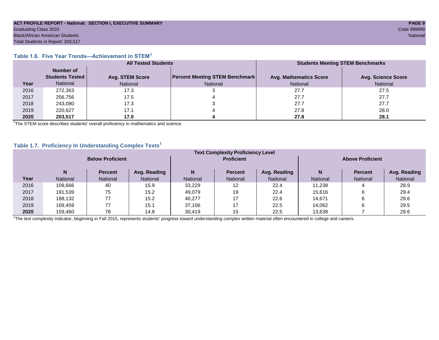#### **ACT PROFILE REPORT - National: SECTION I, EXECUTIVE SUMMARY PAGE 9** Code 9999999 Code 9999999 Code 9999999 **Black/African American Students National American Students National American American Students National American Students National American Students National American Students National American Students National American** Total Students in Report: 203,517

#### **Table 1.6. Five Year Trends—Achievement in STEM<sup>1</sup>**

|      |                        | <b>All Tested Students</b> |                                       | <b>Students Meeting STEM Benchmarks</b> |                           |  |  |
|------|------------------------|----------------------------|---------------------------------------|-----------------------------------------|---------------------------|--|--|
|      | Number of              |                            |                                       |                                         |                           |  |  |
|      | <b>Students Tested</b> | <b>Avg. STEM Score</b>     | <b>Percent Meeting STEM Benchmark</b> | <b>Avg. Mathematics Score</b>           | <b>Avg. Science Score</b> |  |  |
| Year | National               | <b>National</b>            | <b>National</b>                       | <b>National</b>                         | National                  |  |  |
| 2016 | 272,363                | 17.3                       |                                       | 27.7                                    | 27.5                      |  |  |
| 2017 | 256,756                | 17.5                       |                                       | 27.7                                    | 27.7                      |  |  |
| 2018 | 243,080                | 17.3                       |                                       | 27.7                                    | 27.7                      |  |  |
| 2019 | 220,627                | 17.1                       |                                       | 27.8                                    | 28.0                      |  |  |
| 2020 | 203,517                | 17.0                       |                                       | 27.8                                    | 28.1                      |  |  |

<sup>1</sup>The STEM score describes students' overall proficiency in mathematics and science.

#### **Table 1.7. Proficiency In Understanding Complex Texts<sup>1</sup>**

|      | <b>Text Complexity Proficiency Level</b> |                         |                 |                 |                   |                 |                         |                 |              |  |  |
|------|------------------------------------------|-------------------------|-----------------|-----------------|-------------------|-----------------|-------------------------|-----------------|--------------|--|--|
|      |                                          | <b>Below Proficient</b> |                 |                 | <b>Proficient</b> |                 | <b>Above Proficient</b> |                 |              |  |  |
|      | N                                        | <b>Percent</b>          | Avg. Reading    | N               | <b>Percent</b>    | Avg. Reading    | N                       | <b>Percent</b>  | Avg. Reading |  |  |
| Year | National                                 | National                | <b>National</b> | <b>National</b> | <b>National</b>   | <b>National</b> | <b>National</b>         | <b>National</b> | National     |  |  |
| 2016 | 109,666                                  | 40                      | 15.9            | 33,229          | 12                | 22.4            | 11,238                  |                 | 28.9         |  |  |
| 2017 | 191,539                                  | 75                      | 15.2            | 49.079          | 19                | 22.4            | 15.616                  | 6               | 29.4         |  |  |
| 2018 | 188,132                                  | 77                      | 15.2            | 40.277          | 17                | 22.6            | 14.671                  | 6               | 29.6         |  |  |
| 2019 | 169,459                                  | 77                      | 15.1            | 37.106          | 17                | 22.5            | 14.062                  | 6               | 29.5         |  |  |
| 2020 | 159,460                                  | 78                      | 14.8            | 30.419          | 15                | 22.5            | 13,638                  |                 | 29.6         |  |  |

<sup>1</sup>The text complexity indicator, beginning in Fall 2015, represents students' progress toward understanding complex written material often encountered in college and careers.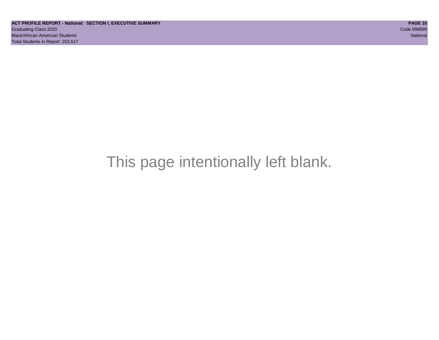### This page intentionally left blank.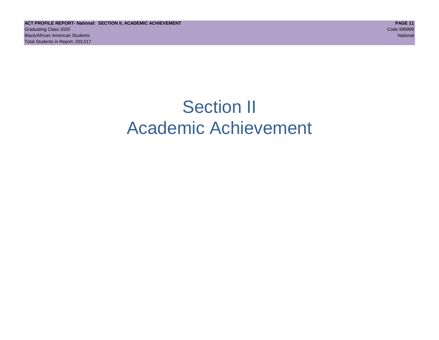## Section II Academic Achievement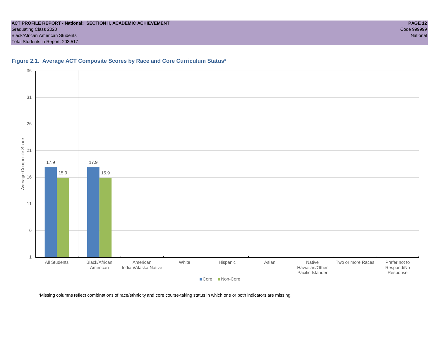

#### **Figure 2.1. Average ACT Composite Scores by Race and Core Curriculum Status\***

\*Missing columns reflect combinations of race/ethnicity and core course-taking status in which one or both indicators are missing.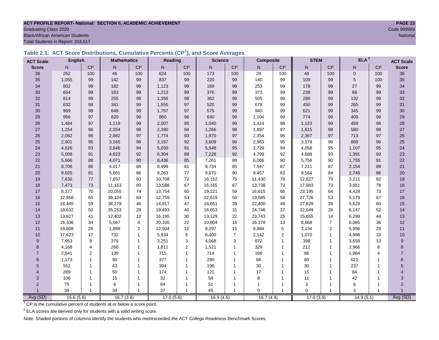#### **ACT PROFILE REPORT- National: SECTION II, ACADEMIC ACHIEVEMENT PAGE 13**

Code 9999999 Code 9999999 Code 9999999 Code 9999999 Code 9999999 Code 9999999 Code 9999999 Code 9999999 Code 30

Black/African American Students National Control of the Control of the Control of the Control of the Control of the Control of the Control of the Control of the Control of the Control of the Control of the Control of the C

Total Students in Report: 203,517

#### **Table 2.1. ACT Score Distributions, Cumulative Percents (CP<sup>1</sup> ), and Score Averages**

| <b>ACT Scale</b> | <b>English</b> |              | <b>Mathematics</b> |              | Reading      |                | <b>Science</b> |                | Composite |              | <b>STEM</b> |                | ELA <sup>2</sup> |                | <b>ACT Scale</b>      |
|------------------|----------------|--------------|--------------------|--------------|--------------|----------------|----------------|----------------|-----------|--------------|-------------|----------------|------------------|----------------|-----------------------|
| <b>Score</b>     | N              | CP           | $\mathsf{N}$       | CP           | $\mathsf{N}$ | <b>CP</b>      | N              | CP             | N.        | CP           | N           | CP             | $\mathsf{N}$     | CP             | <b>Score</b>          |
| 36               | 262            | 100          | 46                 | 100          | 624          | 100            | 173            | 100            | 28        | 100          | 48          | 100            | $\mathbf 0$      | 100            | 36                    |
| 35               | 1,055          | 99           | 142                | 99           | 837          | 99             | 220            | 99             | 140       | 99           | 109         | 99             | 5                | 100            | 35                    |
| 34               | 802            | 99           | 182                | 99           | 1,123        | 99             | 169            | 99             | 253       | 99           | 178         | 99             | 27               | 99             | 34                    |
| 33               | 664            | 99           | 183                | 99           | 1,213        | 99             | 376            | 99             | 373       | 99           | 238         | 99             | 68               | 99             | 33                    |
| 32               | 814            | 99           | 255                | 99           | 1,356        | 98             | 362            | 99             | 505       | 99           | 288         | 99             | 132              | 99             | 32                    |
| 31               | 632            | 98           | 341                | 99           | 1,555        | 97             | 520            | 99             | 678       | 99           | 450         | 99             | 265              | 99             | 31                    |
| $30\,$           | 969            | 98           | 648                | 99           | 1,767        | 97             | 575            | 99             | 940       | 99           | 621         | 99             | 345              | 99             | $30\,$                |
| 29               | 956            | 97           | 820                | 99           | 860          | 96             | 640            | 99             | 1,104     | 99           | 774         | 99             | 409              | 99             | 29                    |
| 28               | 1,484          | 97           | 1,119              | 99           | 2,007        | 95             | 1,040          | 99             | 1,414     | 98           | 1,123       | 99             | 459              | 98             | 28                    |
| 27               | 1,254          | 96           | 2,054              | 98           | 2,380        | 94             | 1,266          | 98             | 1,897     | 97           | 1,615       | 98             | 580              | 98             | 27                    |
| 26               | 2,082          | 96           | 2,882              | 97           | 1,774        | 93             | 1,970          | 97             | 2,354     | 96           | 2,367       | 97             | 713              | 97             | $26\,$                |
| 25               | 2,901          | 95           | 3,165              | 96           | 3,157        | 92             | 3,609          | 96             | 2,983     | 95           | 3,178       | 96             | 868              | 96             | 25                    |
| 24               | 4,526          | 93           | 3,646              | 94           | 5,030        | 91             | 5,549          | 95             | 3,729     | 94           | 4,058       | 95             | 1,107            | 95             | 24                    |
| 23               | 5,008          | 91           | 4,623              | 92           | 6,304        | 88             | 7,228          | 92             | 4,799     | 92           | 4,688       | 93             | 1,391            | 93             | 23                    |
| 22               | 5,666          | 88           | 4,071              | 90           | 8,436        | 85             | 7,261          | 88             | 6,066     | 90           | 5,756       | 90             | 1,755            | 91             | 22                    |
| 21               | 8,706          | 86           | 4,017              | 88           | 8,999        | 81             | 9,734          | 85             | 7,547     | 87           | 7,211       | 87             | 2,154            | 89             | 21                    |
| 20               | 9,025          | 81           | 5,681              | 86           | 9,263        | 77             | 9,670          | 80             | 9,457     | 83           | 9,564       | 84             | 2,749            | 86             | 20                    |
| 19               | 7,636          | 77           | 7,657              | 83           | 10,708       | 72             | 16,152         | 75             | 11,430    | 78           | 12,827      | 79             | 3,211            | 82             | 19                    |
| 18               | 7,473          | 73           | 11,163             | 80           | 13,588       | 67             | 16,165         | 67             | 13,738    | 73           | 17,883      | 73             | 3,851            | 78             | 18                    |
| 17               | 8,377          | 70           | 20,055             | 74           | 13,754       | 60             | 19,221         | 59             | 16,615    | 66           | 23,195      | 64             | 4,428            | 73             | $17$                  |
| 16               | 12,858         | 65           | 38,124             | 64           | 12,759       | 53             | 22,619         | 50             | 19,585    | 58           | 27,726      | 53             | 5,179            | 67             | 16                    |
| 15               | 18,445         | 59           | 36,279             | 46           | 14,917       | 47             | 16,651         | 39             | 22,400    | 48           | 27,629      | 39             | 5,629            | 60             | 15                    |
| 14               | 18,632         | 50           | 35,253             | 28           | 19,493       | 40             | 16,653         | 31             | 24,746    | 37           | 22,649      | 26             | 6,147            | 52             | 14                    |
| 13               | 13,627         | 41           | 12,402             | 10           | 16,195       | 30             | 13,129         | 22             | 23,743    | 25           | 15,655      | 14             | 6,299            | 44             | 13                    |
| 12               | 16,336         | 34           | 5,067              | 4            | 20,105       | 22             | 10,804         | 16             | 16,378    | 13           | 8,668       | 7              | 6,085            | 36             | 12                    |
| 11               | 18,808         | 26           | 1,888              | 2            | 12,504       | 12             | 8,297          | 11             | 6,984     | 5            | 3,134       | 2              | 5,956            | 28             | $11$                  |
| 10               | 17,623         | 17           | 732                | 1            | 5,934        | 6              | 6,400          | $\overline{7}$ | 2,142     | $\mathbf{2}$ | 1,070       | $\mathbf{1}$   | 4,998            | 19             | 10                    |
| 9                | 7,953          | 8            | 379                | 1            | 3,251        | 3              | 4,068          | 3              | 872       | $\mathbf{1}$ | 398         | $\mathbf{1}$   | 3,658            | 13             | 9                     |
| 8                | 4,168          | 4            | 266                | 1            | 1,811        | $\overline{2}$ | 1,521          | $\mathbf{1}$   | 329       | $\mathbf{1}$ | 212         | $\mathbf{1}$   | 2,966            | 8              | 8                     |
| $\overline{7}$   | 2,541          | 2            | 139                | 1            | 715          | $\mathbf{1}$   | 714            | $\mathbf{1}$   | 166       | $\mathbf{1}$ | 86          | $\mathbf{1}$   | 1,864            | 4              | $\overline{7}$        |
| $6\phantom{1}6$  | 1,173          | 1            | 90                 | $\mathbf{1}$ | 377          | $\mathbf{1}$   | 290            | $\mathbf{1}$   | 66        | $\mathbf{1}$ | 60          | $\mathbf{1}$   | 621              | $\overline{1}$ | 6                     |
| 5                | 552            | 1            | 43                 | 1            | 394          | $\mathbf{1}$   | 196            | 1              | 30        | $\mathbf{1}$ | 30          | $\mathbf{1}$   | 237              | 1              | 5                     |
| $\overline{4}$   | 289            | $\mathbf{1}$ | 50                 | 1            | 174          | $\mathbf{1}$   | 121            | 1              | 17        | $\mathbf{1}$ | 15          | 1              | 84               | -1             | $\boldsymbol{\Delta}$ |
| 3                | 106            | -1           | 15                 | 1            | 32           | $\mathbf 1$    | 58             | 1              | 8         | $\mathbf{1}$ | 11          | 1              | 42               | -1             | 3                     |
| $\overline{2}$   | 75             | $\mathbf{1}$ | 6                  | $\mathbf{1}$ | 84           | $\mathbf{1}$   | 51             | 1              | 1         | 1            | 3           | $\mathbf{1}$   | 6                | $\overline{1}$ | $\overline{2}$        |
|                  | 39             |              | 34                 | 1            | 37           | $\mathbf{1}$   | 45             | 1              | $\Omega$  |              | $\Omega$    | $\overline{1}$ | 3                | -1             | $\overline{1}$        |
| Avg (SD)         | 15.6(5.6)      |              | 16.7(3.8)          |              | 17.0(5.6)    |                | 16.9(4.6)      |                | 16.7(4.4) |              | 17.0(3.9)   |                | 14.9(5.1)        |                | Avg (SD)              |

CP is the cumulative percent of students at or below a score point.

ELA scores are derived only for students with a valid writing score.

Note: Shaded portions of columns identify the students who met/exceeded the ACT College Readiness Benchmark Scores.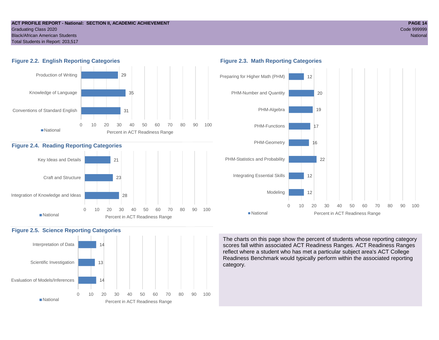#### **ACT PROFILE REPORT - National: SECTION II, ACADEMIC ACHIEVEMENT PAGE 14** Graduating Class 2020 Code 999999 Black/African American Students National

Total Students in Report: 203,517



#### **Figure 2.4. Reading Reporting Categories**



#### **Figure 2.5. Science Reporting Categories**



#### **Figure 2.2. English Reporting Categories Figure 2.3. Math Reporting Categories**



The charts on this page show the percent of students whose reporting category scores fall within associated ACT Readiness Ranges. ACT Readiness Ranges reflect where a student who has met a particular subject area's ACT College Readiness Benchmark would typically perform within the associated reporting category.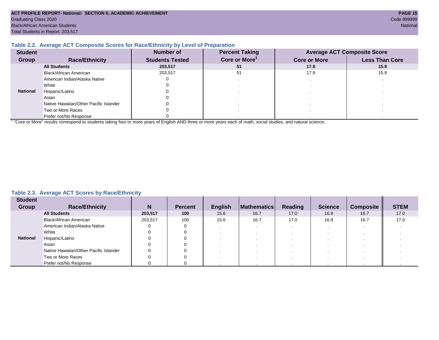#### **Table 2.2. Average ACT Composite Scores for Race/Ethnicity by Level of Preparation**

| <b>Student</b>  |                                        | <b>Number of</b>       | <b>Percent Taking</b>     |                     | <b>Average ACT Composite Score</b> |
|-----------------|----------------------------------------|------------------------|---------------------------|---------------------|------------------------------------|
| <b>Group</b>    | <b>Race/Ethnicity</b>                  | <b>Students Tested</b> | Core or More <sup>1</sup> | <b>Core or More</b> | <b>Less Than Core</b>              |
|                 | <b>All Students</b>                    | 203,517                | 51                        | 17.9                | 15.9                               |
|                 | Black/African American                 | 203.517                | 51                        | 17.9                | 15.9                               |
|                 | American Indian/Alaska Native          |                        |                           |                     |                                    |
|                 | White                                  |                        |                           |                     |                                    |
| <b>National</b> | Hispanic/Latino                        |                        |                           |                     |                                    |
|                 | Asian                                  |                        |                           |                     |                                    |
|                 | Native Hawaiian/Other Pacific Islander |                        |                           |                     |                                    |
|                 | Two or More Races                      |                        |                           |                     |                                    |
|                 | Prefer not/No Response                 |                        |                           |                     |                                    |

<sup>1</sup> "Core or More" results correspond to students taking four or more years of English AND three or more years each of math, social studies, and natural science.

#### **Table 2.3. Average ACT Scores by Race/Ethnicity**

| <b>Student</b>  |                                        |         |                |                |                    |         |                |                  |             |
|-----------------|----------------------------------------|---------|----------------|----------------|--------------------|---------|----------------|------------------|-------------|
| Group           | <b>Race/Ethnicity</b>                  | N       | <b>Percent</b> | <b>English</b> | <b>Mathematics</b> | Reading | <b>Science</b> | <b>Composite</b> | <b>STEM</b> |
|                 | <b>All Students</b>                    | 203,517 | 100            | 15.6           | 16.7               | 17.0    | 16.9           | 16.7             | 17.0        |
|                 | <b>Black/African American</b>          | 203,517 | 100            | 15.6           | 16.7               | 17.0    | 16.9           | 16.7             | 17.0        |
|                 | American Indian/Alaska Native          |         |                |                |                    |         |                |                  |             |
|                 | White                                  |         |                |                |                    |         |                |                  |             |
| <b>National</b> | Hispanic/Latino                        |         |                |                |                    |         |                |                  |             |
|                 | Asian                                  |         |                |                |                    |         |                |                  |             |
|                 | Native Hawaiian/Other Pacific Islander |         |                |                |                    |         |                |                  |             |
|                 | Two or More Races                      |         |                |                |                    |         |                |                  |             |
|                 | Prefer not/No Response                 |         |                |                |                    |         |                |                  |             |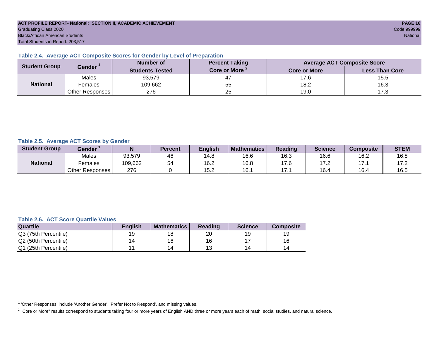#### **ACT PROFILE REPORT- National: SECTION II, ACADEMIC ACHIEVEMENT PAGE 16** Graduating Class 2020 Code 999999

**Black/African American Students** National American Control of the Control of the Control of the Control of the Control of the Control of the Control of the Control of the Control of the Control of the Control of the Contr Total Students in Report: 203,517

#### **Table 2.4. Average ACT Composite Scores for Gender by Level of Preparation**

| <b>Student Group</b> | <b>Gender</b>     | Number of              | <b>Percent Taking</b> | <b>Average ACT Composite Score</b> |                       |  |  |
|----------------------|-------------------|------------------------|-----------------------|------------------------------------|-----------------------|--|--|
|                      |                   | <b>Students Tested</b> | Core or More 4        | <b>Core or More</b>                | <b>Less Than Core</b> |  |  |
|                      | Males             | 93,579                 | 4.                    | 17.6                               | 15.5                  |  |  |
| <b>National</b>      | Females           | 109,662                | 55                    | 18.2                               | 16.3                  |  |  |
|                      | Other Responses I | 276                    | 25                    | 19.0                               | 17 २                  |  |  |

#### **Table 2.5. Average ACT Scores by Gender**

| <b>Student Group</b> | Gender            |         | <b>Percent</b> | <b>English</b> | <b>Mathematics</b> | <b>Reading</b> | <b>Science</b> | <b>Composite</b> | <b>STEM</b> |
|----------------------|-------------------|---------|----------------|----------------|--------------------|----------------|----------------|------------------|-------------|
|                      | Males             | 93,579  | 46             | 14.8           | 16.6               | 16.3           | 16.6           | 16.2             | 16.8        |
| <b>National</b>      | Females           | 109,662 | 54             | 16.2           | 16.8               | 17.6           | 17 O<br>.      | 17.1             | 17.2        |
|                      | Other Responses I | 276     |                | 15 つ<br>I J.Z  | 16.                | 17<br>.        | 16.4           | 16.4             | 16.5        |

#### **Table 2.6. ACT Score Quartile Values**

| Quartile             | <b>English</b> | <b>Mathematics</b> | <b>Reading</b> | <b>Science</b> | <b>Composite</b> |
|----------------------|----------------|--------------------|----------------|----------------|------------------|
| Q3 (75th Percentile) | 19             | 18                 | 20             | 19             | 19               |
| Q2 (50th Percentile) | 14             | 16                 | 16             |                | 16               |
| Q1 (25th Percentile) |                | 14                 | 13             | 14             | 14               |

<sup>&</sup>lt;sup>1</sup> 'Other Responses' include 'Another Gender', 'Prefer Not to Respond', and missing values.

<sup>&</sup>lt;sup>2</sup> "Core or More" results correspond to students taking four or more years of English AND three or more years each of math, social studies, and natural science.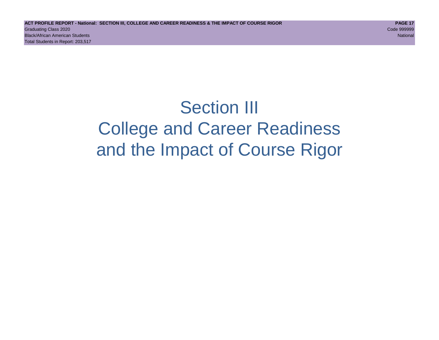## Section III College and Career Readiness and the Impact of Course Rigor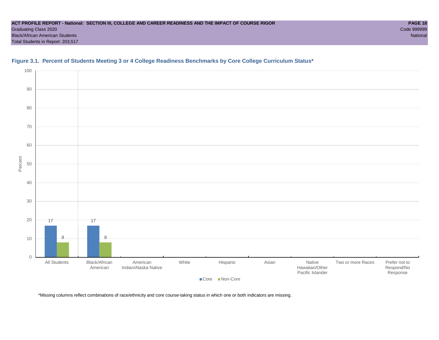

#### **Figure 3.1. Percent of Students Meeting 3 or 4 College Readiness Benchmarks by Core College Curriculum Status\***

\*Missing columns reflect combinations of race/ethnicity and core course-taking status in which one or both indicators are missing.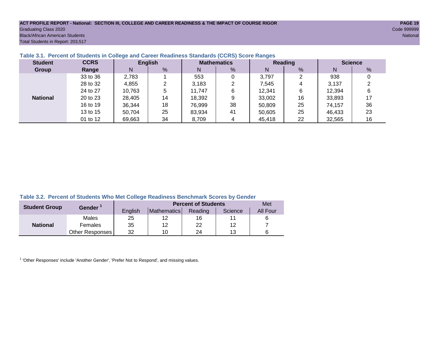Graduating Class 2020 Code 999999 Black/African American Students National Contract of the Contract of the Contract of the Contract of the Contract of the Contract of the Contract of the Contract of the Contract of the Contract of the Contract of the Contr Total Students in Report: 203,517

| Table 3.1. Percent of Students in College and Career Readiness Standards (CCRS) Score Ranges |  |
|----------------------------------------------------------------------------------------------|--|
|----------------------------------------------------------------------------------------------|--|

| <b>Student</b>  | <b>CCRS</b> | <b>English</b> |    |        | <b>Mathematics</b> | $\sim$ | <b>Reading</b> | <b>Science</b> |    |  |
|-----------------|-------------|----------------|----|--------|--------------------|--------|----------------|----------------|----|--|
| Group           | Range       | N              | %  | N      | %                  | N      | %              | N              | %  |  |
|                 | 33 to 36    | 2,783          |    | 553    | 0                  | 3,797  | 2              | 938            |    |  |
|                 | 28 to 32    | 4.855          | ົ  | 3.183  | 2                  | 7.545  | 4              | 3.137          |    |  |
|                 | 24 to 27    | 10,763         | 5  | 11.747 | 6                  | 12,341 | 6              | 12,394         | 6  |  |
| <b>National</b> | 20 to 23    | 28,405         | 14 | 18,392 | 9                  | 33,002 | 16             | 33.893         | 17 |  |
|                 | 16 to 19    | 36,344         | 18 | 76,999 | 38                 | 50.809 | 25             | 74,157         | 36 |  |
|                 | 13 to 15    | 50.704         | 25 | 83,934 | 41                 | 50.605 | 25             | 46.433         | 23 |  |
|                 | 01 to 12    | 69,663         | 34 | 8,709  | 4                  | 45,418 | 22             | 32,565         | 16 |  |

#### **Table 3.2. Percent of Students Who Met College Readiness Benchmark Scores by Gender**

| <b>Student Group</b> |                          |         | Met                |         |         |          |
|----------------------|--------------------------|---------|--------------------|---------|---------|----------|
|                      | Gender <sup>1</sup>      | English | <b>Mathematics</b> | Reading | Science | All Four |
|                      | Males                    | 25      | 12                 | 16      |         |          |
| <b>National</b>      | Females                  | 35      | 12                 | 22      | 12      |          |
|                      | Other Responses <b>I</b> | 32      | 10                 | 24      | 13      |          |

<sup>1</sup> 'Other Responses' include 'Another Gender', 'Prefer Not to Respond', and missing values.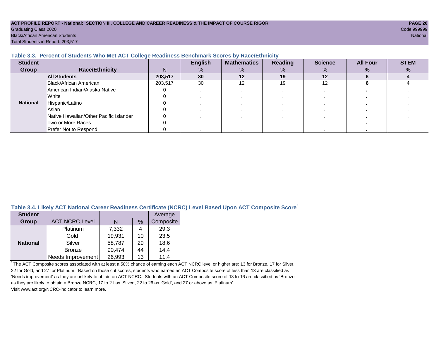Graduating Class 2020 Code 999999

Total Students in Report: 203,517

| Table 3.3.  Percent of Students Who Met ACT College Readiness Benchmark Scores by Race/Ethnicity |  |  |  |  |  |  |  |  |
|--------------------------------------------------------------------------------------------------|--|--|--|--|--|--|--|--|
|--------------------------------------------------------------------------------------------------|--|--|--|--|--|--|--|--|

| <b>Student</b>  |                                        |         | <b>English</b> | <b>Mathematics</b> | Reading | <b>Science</b> | <b>All Four</b> | <b>STEM</b> |
|-----------------|----------------------------------------|---------|----------------|--------------------|---------|----------------|-----------------|-------------|
| Group           | <b>Race/Ethnicity</b>                  | N       | $\%$           | %                  | $\%$    | %              | %               | %           |
|                 | <b>All Students</b>                    | 203,517 | 30             | 12                 | 19      | 12             |                 |             |
|                 | <b>Black/African American</b>          | 203,517 | 30             | 12                 | 19      | 12             |                 |             |
|                 | American Indian/Alaska Native          |         |                |                    |         |                |                 |             |
|                 | White                                  |         |                |                    |         |                |                 |             |
| <b>National</b> | Hispanic/Latino                        |         |                |                    |         |                |                 |             |
|                 | Asian                                  |         |                |                    |         |                |                 |             |
|                 | Native Hawaiian/Other Pacific Islander |         |                |                    |         |                |                 |             |
|                 | Two or More Races                      |         |                |                    |         |                |                 |             |
|                 | Prefer Not to Respond                  |         |                |                    |         |                |                 |             |

#### **Table 3.4. Likely ACT National Career Readiness Certificate (NCRC) Level Based Upon ACT Composite Score<sup>1</sup>**

| <b>Student</b>  |                       |        |    | Average   |
|-----------------|-----------------------|--------|----|-----------|
| <b>Group</b>    | <b>ACT NCRC Level</b> | N      | %  | Composite |
|                 | Platinum              | 7,332  | 4  | 29.3      |
|                 | Gold                  | 19,931 | 10 | 23.5      |
| <b>National</b> | Silver                | 58,787 | 29 | 18.6      |
|                 | <b>Bronze</b>         | 90,474 | 44 | 14.4      |
|                 | Needs Improvement     | 26,993 | 13 | 11.4      |

<sup>1</sup>The ACT Composite scores associated with at least a 50% chance of earning each ACT NCRC level or higher are: 13 for Bronze, 17 for Silver, 22 for Gold, and 27 for Platinum. Based on those cut scores, students who earned an ACT Composite score of less than 13 are classified as 'Needs improvement' as they are unlikely to obtain an ACT NCRC. Students with an ACT Composite score of 13 to 16 are classified as 'Bronze' as they are likely to obtain a Bronze NCRC, 17 to 21 as 'Silver', 22 to 26 as 'Gold', and 27 or above as 'Platinum'. Visit www.act.org/NCRC-indicator to learn more.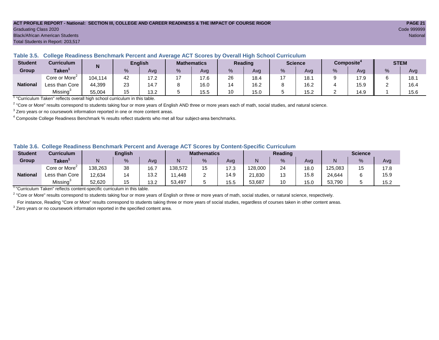#### Code 999999 Code 999999 Code 999999 Code 999999 Code 999999 Code 999999 Code 999999 Code 999999 Code 999999 Code 999999 Code 999999 Code 99999 Code 99999 Code 99999 Code 99999 Code 99999 Code 99999 Code 99999 Code 99999 Co

|                 | _                         |                |    |                                      | -  |         |                  |      |             |   |      |              |      |
|-----------------|---------------------------|----------------|----|--------------------------------------|----|---------|------------------|------|-------------|---|------|--------------|------|
| <b>Student</b>  | <b>Curriculum</b>         | <b>English</b> |    | <b>Mathematics</b><br><b>Reading</b> |    | Science | <b>Composite</b> |      | <b>STEM</b> |   |      |              |      |
| Group           | <b>Taken</b>              |                | %  | Avg                                  | %  | Avg     | %                | Avg  | Avc         | % | Avg  | $O_{\alpha}$ | Avo  |
|                 | Core or More <sup>2</sup> | 104,114        | 42 | 17 ว<br>. <u>.</u>                   | 17 | 17.6    | 26               | 18.4 | 18.1        |   | 17.9 |              | 18.  |
| <b>National</b> | ess than Core             | 44,399         | 23 | 14.7                                 | ີ  | 16.0    | 14               | 16.2 | 16.2        |   | 15.9 |              | 16.4 |
|                 | Missing                   | 55,004         |    | 13.2                                 |    | 15.5    | 10               | 15.0 | 15.2        |   | 14.9 |              | 15.6 |

#### **Table 3.5. College Readiness Benchmark Percent and Average ACT Scores by Overall High School Curriculum**

 $1$  "Curriculum Taken" reflects overall high school curriculum in this table.

<sup>2</sup> "Core or More" results correspond to students taking four or more years of English AND three or more years each of math, social studies, and natural science.

 $3$  Zero years or no coursework information reported in one or more content areas.

<sup>4</sup> Composite College Readiness Benchmark % results reflect students who met all four subject-area benchmarks.

#### **Table 3.6. College Readiness Benchmark Percent and Average ACT Scores by Content-Specific Curriculum**

| <b>Student</b>  | <b>English</b><br><b>Curriculum</b> |         |    | <b>Mathematics</b> |         |     |      | Reading |    | <b>Science</b> |         |    |      |
|-----------------|-------------------------------------|---------|----|--------------------|---------|-----|------|---------|----|----------------|---------|----|------|
| Group           | <b>Taken</b>                        | N       | %  | Avg                |         | %   | Avg  |         | %  | Avg            | N       | %  | Avg  |
|                 | Core or More $^2$                   | 138,263 | 38 | 16.                | 138.572 | ט ו | 17.3 | 128,000 | 24 | 18.0           | 125,083 | 15 | 17.8 |
| <b>National</b> | Less than Core                      | 12,634  | 14 | 13.2               | 448. ا  |     | 14.9 | 21.830  | 13 | 15.8           | 24.644  |    | 15.9 |
|                 | $\mathsf{Missing}^{\mathsf{c}}$     | 52,620  | 15 | 13.2               | 53,497  |     | 15.5 | 53,687  | 10 | 15.0           | 53,790  |    | 15.2 |

<sup>1</sup> "Curriculum Taken" reflects content-specific curriculum in this table.

<sup>2</sup> "Core or More" results correspond to students taking four or more years of English or three or more years of math, social studies, or natural science, respectively.

For instance, Reading "Core or More" results correspond to students taking three or more years of social studies, regardless of courses taken in other content areas.

 $3$  Zero years or no coursework information reported in the specified content area.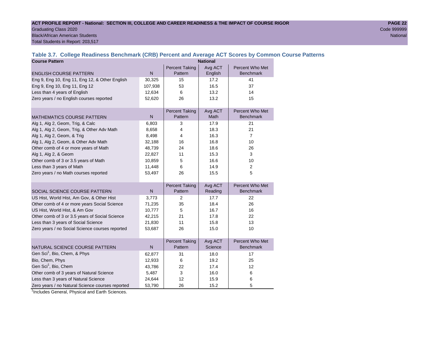Graduating Class 2020 Code 999999 Black/African American Students National

Total Students in Report: 203,517

#### **Course Pattern National** ENGLISH COURSE PATTERN NEWSFILM NEWSFILM Percent Taking **Pattern** Avg ACT English Percent Who Met **Benchmark** Eng 9, Eng 10, Eng 11, Eng 12, & Other English 30,325 15 15 17.2 17.2 15 Eng 9, Eng 10, Eng 11, Eng 12 107,938 53 16.5 16.5 37 Less than 4 years of English 12,634 6 13.2  $14$ Zero years / no English courses reported 52,620 26 13.2 15 MATHEMATICS COURSE PATTERN N Percent Taking **Pattern** Avg ACT Math Percent Who Met **Benchmark** Alg 1, Alg 2, Geom, Trig, & Calc 6,803 3 17.9 21 Alg 1, Alg 2, Geom, Trig, & Other Adv Math 8,658 4 18.3 21 Alg 1, Alg 2, Geom, & Trig 2, Alg 2, Geom, & Trig 2, Alg 2, Alg 2, Alg 2, Alg 2, Alg 2, Alg 2, Alg 2, Alg 2, A Alg 1, Alg 2, Geom, & Other Adv Math 32,188 16 16 16.8 16.8 10 Other comb of 4 or more years of Math 48,739 24 18.6 26 Alg 1, Alg 2, & Geom 22,827 11 15.3 3 Other comb of 3 or 3.5 years of Math 10,859 16.6 16.6 10 Less than 3 years of Math  $11,448$  6 14.9 2 Zero years / no Math courses reported 53,497 26 15.5 5 Percent Taking Avg ACT Percent Who Met

|                                                 |        | 1.91991111111111      | , , , , , , <del>,</del> , |                  |
|-------------------------------------------------|--------|-----------------------|----------------------------|------------------|
| SOCIAL SCIENCE COURSE PATTERN                   | N      | Pattern               | Reading                    | <b>Benchmark</b> |
| US Hist, World Hist, Am Gov, & Other Hist       | 3.773  | 2                     | 17.7                       | 22               |
| Other comb of 4 or more years Social Science    | 71,235 | 35                    | 18.4                       | 26               |
| US Hist, World Hist, & Am Gov                   | 10,777 | 5                     | 16.7                       | 16               |
| Other comb of 3 or 3.5 years of Social Science  | 42,215 | 21                    | 17.8                       | 22               |
| Less than 3 years of Social Science             | 21,830 | 11                    | 15.8                       | 13               |
| Zero years / no Social Science courses reported | 53,687 | 26                    | 15.0                       | 10               |
|                                                 |        |                       |                            |                  |
|                                                 |        | <b>Percent Taking</b> | Avg ACT                    | Percent Who Met  |
| NATURAL SCIENCE COURSE PATTERN                  | N      | Pattern               | Science                    | <b>Benchmark</b> |
| Gen Sci <sup>1</sup> , Bio, Chem, & Phys        | 62.877 | 31                    | 18.0                       | 17               |
| Bio, Chem, Phys                                 | 12,933 | 6                     | 19.2                       | 25               |
| Gen Sci <sup>1</sup> , Bio, Chem                | 43.786 | 22                    | 17.4                       | 12               |
| Other comb of 3 years of Natural Science        | 5.487  | 3                     | 16.0                       | 6                |
| Less than 3 years of Natural Science            | 24.644 | 12                    | 15.9                       | 6                |

Zero years / no Natural Science courses reported 53,790 26 15.2 5

#### **Table 3.7. College Readiness Benchmark (CRB) Percent and Average ACT Scores by Common Course Patterns**

<sup>1</sup>Includes General, Physical and Earth Sciences.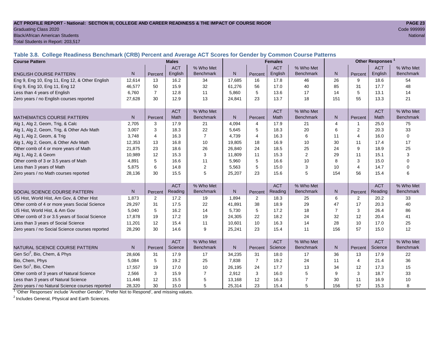Graduating Class 2020 Code 999999

**Black/African American Students** National American Control of the Control of the Control of the Control of the Control of the Control of the Control of the Control of the Control of the Control of the Control of the Contr

Total Students in Report: 203,517

#### **Table 3.8. College Readiness Benchmark (CRB) Percent and Average ACT Scores for Gender by Common Course Patterns**

| <b>Course Pattern</b>                            |        |                | <b>Males</b> |                  | <b>Females</b> |                |            |                  | Other Responses <sup>1</sup> |                |            |                  |
|--------------------------------------------------|--------|----------------|--------------|------------------|----------------|----------------|------------|------------------|------------------------------|----------------|------------|------------------|
|                                                  |        |                | <b>ACT</b>   | % Who Met        |                |                | <b>ACT</b> | % Who Met        |                              |                | <b>ACT</b> | % Who Met        |
| <b>ENGLISH COURSE PATTERN</b>                    | N      | Percent        | English      | <b>Benchmark</b> | N              | Percent        | English    | <b>Benchmark</b> | N                            | Percent        | English    | <b>Benchmark</b> |
| Eng 9, Eng 10, Eng 11, Eng 12, & Other English   | 12,614 | 13             | 16.2         | 34               | 17,685         | 16             | 17.8       | 46               | 26                           | 9              | 18.6       | 54               |
| Eng 9, Eng 10, Eng 11, Eng 12                    | 46,577 | 50             | 15.9         | 32               | 61,276         | 56             | 17.0       | 40               | 85                           | 31             | 17.7       | 48               |
| Less than 4 years of English                     | 6,760  | $\overline{7}$ | 12.8         | 11               | 5,860          | 5              | 13.6       | 17               | 14                           | 5              | 13.1       | 14               |
| Zero years / no English courses reported         | 27,628 | 30             | 12.9         | 13               | 24,841         | 23             | 13.7       | 18               | 151                          | 55             | 13.3       | 21               |
|                                                  |        |                | <b>ACT</b>   | % Who Met        |                |                | <b>ACT</b> | % Who Met        |                              |                | <b>ACT</b> | % Who Met        |
| <b>MATHEMATICS COURSE PATTERN</b>                | N      | Percent        | Math         | <b>Benchmark</b> | N              | Percent        | Math       | <b>Benchmark</b> | N                            | Percent        | Math       | <b>Benchmark</b> |
| Alg 1, Alg 2, Geom, Trig, & Calc                 | 2,705  | 3              | 17.9         | 21               | 4,094          | 4              | 17.9       | 21               | 4                            |                | 25.0       | 75               |
| Alg 1, Alg 2, Geom, Trig, & Other Adv Math       | 3,007  | 3              | 18.3         | 22               | 5,645          | 5              | 18.3       | 20               | 6                            | 2              | 20.3       | 33               |
| Alg 1, Alg 2, Geom, & Trig                       | 3,748  | 4              | 16.3         | $\overline{7}$   | 4,739          | $\overline{4}$ | 16.3       | 6                | 11                           | $\overline{4}$ | 16.0       | $\mathbf 0$      |
| Alg 1, Alg 2, Geom, & Other Adv Math             | 12,353 | 13             | 16.8         | 10               | 19,805         | 18             | 16.9       | 10               | 30                           | 11             | 17.4       | 17               |
| Other comb of 4 or more years of Math            | 21,875 | 23             | 18.6         | 26               | 26,840         | 24             | 18.5       | 25               | 24                           | 9              | 18.9       | 25               |
| Alg 1, Alg 2, & Geom                             | 10,989 | 12             | 15.3         | 3                | 11,809         | 11             | 15.3       | $\overline{2}$   | 29                           | 11             | 15.1       | 3                |
| Other comb of 3 or 3.5 years of Math             | 4,891  | 5              | 16.6         | 11               | 5,960          | 5              | 16.6       | 10               | 8                            | 3              | 15.0       | $\Omega$         |
| Less than 3 years of Math                        | 5,875  | 6              | 14.8         | $\overline{2}$   | 5,563          | 5              | 15.0       | 3                | 10                           | $\overline{4}$ | 14.7       | $\mathbf 0$      |
| Zero years / no Math courses reported            | 28,136 | 30             | 15.5         | 5                | 25,207         | 23             | 15.6       | 5                | 154                          | 56             | 15.4       | 6                |
|                                                  |        |                | <b>ACT</b>   | % Who Met        |                |                | <b>ACT</b> | % Who Met        |                              |                | <b>ACT</b> | % Who Met        |
| SOCIAL SCIENCE COURSE PATTERN                    | N      | Percent        | Reading      | <b>Benchmark</b> | N              | Percent        | Reading    | <b>Benchmark</b> | N                            | Percent        | Reading    | Benchmark        |
| US Hist, World Hist, Am Gov, & Other Hist        | 1,873  | 2              | 17.2         | 19               | 1,894          | 2              | 18.3       | 25               | 6                            | 2              | 20.2       | 33               |
| Other comb of 4 or more years Social Science     | 29,297 | 31             | 17.5         | 22               | 41,891         | 38             | 18.9       | 29               | 47                           | 17             | 20.3       | 40               |
| US Hist, World Hist, & Am Gov                    | 5,040  | 5              | 16.2         | 14               | 5,730          | 5              | 17.2       | 18               | $\overline{7}$               | 3              | 26.4       | 86               |
| Other comb of 3 or 3.5 years of Social Science   | 17,878 | 19             | 17.2         | 19               | 24,305         | 22             | 18.2       | 24               | 32                           | 12             | 20.4       | 41               |
| Less than 3 years of Social Science              | 11,201 | 12             | 15.4         | 11               | 10,601         | 10             | 16.3       | 14               | 28                           | 10             | 17.0       | 25               |
| Zero years / no Social Science courses reported  | 28,290 | 30             | 14.6         | 9                | 25,241         | 23             | 15.4       | 11               | 156                          | 57             | 15.0       | 12               |
|                                                  |        |                | <b>ACT</b>   | % Who Met        |                |                | <b>ACT</b> | % Who Met        |                              |                | <b>ACT</b> | % Who Met        |
| NATURAL SCIENCE COURSE PATTERN                   | N      | Percent        | Science      | <b>Benchmark</b> | N.             | Percent        | Science    | <b>Benchmark</b> | N                            | Percent        | Science    | <b>Benchmark</b> |
| Gen Sci <sup>2</sup> , Bio, Chem, & Phys         | 28,606 | 31             | 17.9         | 17               | 34,235         | 31             | 18.0       | 17               | 36                           | 13             | 17.9       | 22               |
| Bio, Chem, Phys                                  | 5,084  | 5              | 19.2         | 25               | 7,838          | $\overline{7}$ | 19.2       | 24               | 11                           | 4              | 21.4       | 36               |
| Gen Sci <sup>1</sup> , Bio, Chem                 | 17,557 | 19             | 17.0         | 10               | 26,195         | 24             | 17.7       | 13               | 34                           | 12             | 17.3       | 15               |
| Other comb of 3 years of Natural Science         | 2,566  | 3              | 15.9         | $\overline{7}$   | 2,912          | 3              | 16.0       | 5                | 9                            | 3              | 18.7       | 33               |
| Less than 3 years of Natural Science             | 11,446 | 12             | 15.5         | 5                | 13,168         | 12             | 16.3       | $\overline{7}$   | 30                           | 11             | 16.9       | 10               |
| Zero years / no Natural Science courses reported | 28,320 | 30             | 15.0         | 5                | 25,314         | 23             | 15.4       | 5                | 156                          | 57             | 15.3       | 8                |

<sup>1</sup> 'Other Responses' include 'Another Gender', 'Prefer Not to Respond', and missing values.

<sup>2</sup> Includes General, Physical and Earth Sciences.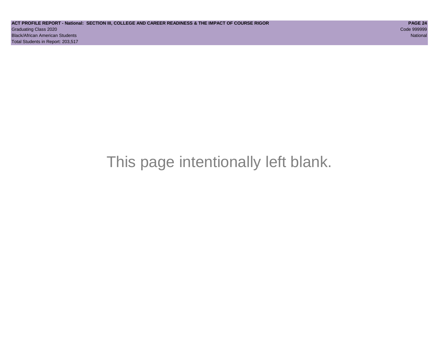### This page intentionally left blank.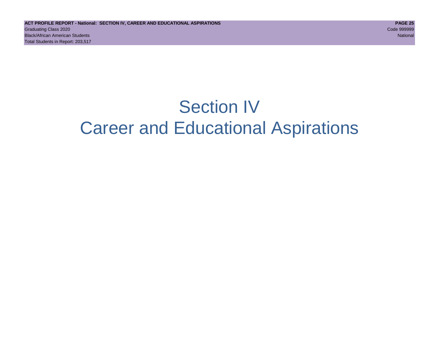## Section IV Career and Educational Aspirations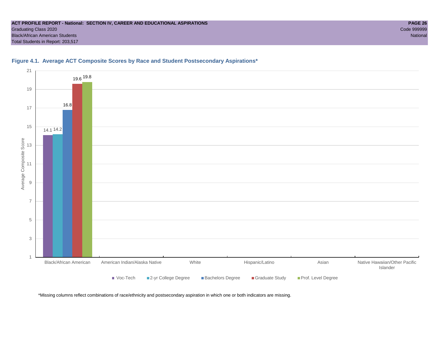

#### **Figure 4.1. Average ACT Composite Scores by Race and Student Postsecondary Aspirations\***

\*Missing columns reflect combinations of race/ethnicity and postsecondary aspiration in which one or both indicators are missing.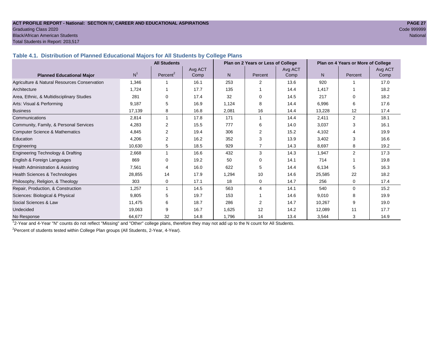#### **ACT PROFILE REPORT - National: SECTION IV, CAREER AND EDUCATIONAL ASPIRATIONS PAGE 27**

Graduating Class 2020 Code 999999

**Black/African American Students** National American Control of the Control of the Control of the Control of the Control of the Control of the Control of the Control of the Control of the Control of the Control of the Contr

Total Students in Report: 203,517

| Table 4.1.  Distribution of Planned Educational Majors for All Students by College Plans |  |  |  |  |
|------------------------------------------------------------------------------------------|--|--|--|--|
|                                                                                          |  |  |  |  |

|                                              | <b>All Students</b> |                      |                 | Plan on 2 Years or Less of College |                |                 | Plan on 4 Years or More of College |                |                 |
|----------------------------------------------|---------------------|----------------------|-----------------|------------------------------------|----------------|-----------------|------------------------------------|----------------|-----------------|
| <b>Planned Educational Major</b>             | N <sup>1</sup>      | Percent <sup>2</sup> | Avg ACT<br>Comp | N                                  | Percent        | Avg ACT<br>Comp | N                                  | Percent        | Avg ACT<br>Comp |
| Agriculture & Natural Resources Conservation | 1,346               |                      | 16.1            | 253                                | $\overline{2}$ | 13.6            | 920                                |                | 17.0            |
| Architecture                                 | 1.724               |                      | 17.7            | 135                                |                | 14.4            | 1,417                              |                | 18.2            |
| Area, Ethnic, & Multidisciplinary Studies    | 281                 | $\Omega$             | 17.4            | 32                                 | $\Omega$       | 14.5            | 217                                | $\Omega$       | 18.2            |
| Arts: Visual & Performing                    | 9,187               | 5                    | 16.9            | 1,124                              | 8              | 14.4            | 6,996                              | 6              | 17.6            |
| <b>Business</b>                              | 17,139              | 8                    | 16.8            | 2,081                              | 16             | 14.4            | 13,228                             | 12             | 17.4            |
| Communications                               | 2,814               |                      | 17.8            | 171                                |                | 14.4            | 2,411                              | 2              | 18.1            |
| Community, Family, & Personal Services       | 4,283               | 2                    | 15.5            | 777                                | 6              | 14.0            | 3,037                              | 3              | 16.1            |
| <b>Computer Science &amp; Mathematics</b>    | 4,845               | $\overline{2}$       | 19.4            | 306                                | 2              | 15.2            | 4,102                              |                | 19.9            |
| Education                                    | 4,206               | $\overline{2}$       | 16.2            | 352                                | 3              | 13.9            | 3,402                              | 3              | 16.6            |
| Engineering                                  | 10,630              | 5                    | 18.5            | 929                                |                | 14.3            | 8,697                              | 8              | 19.2            |
| Engineering Technology & Drafting            | 2,668               |                      | 16.6            | 432                                | 3              | 14.3            | 1,947                              | $\overline{2}$ | 17.3            |
| English & Foreign Languages                  | 869                 | $\Omega$             | 19.2            | 50                                 | $\Omega$       | 14.1            | 714                                |                | 19.8            |
| Health Administration & Assisting            | 7,561               | 4                    | 16.0            | 622                                | 5              | 14.4            | 6,134                              | 5              | 16.3            |
| Health Sciences & Technologies               | 28,855              | 14                   | 17.9            | 1,294                              | 10             | 14.6            | 25,585                             | 22             | 18.2            |
| Philosophy, Religion, & Theology             | 303                 | 0                    | 17.1            | 18                                 | 0              | 14.7            | 256                                | 0              | 17.4            |
| Repair, Production, & Construction           | 1,257               |                      | 14.5            | 563                                | 4              | 14.1            | 540                                | $\Omega$       | 15.2            |
| Sciences: Biological & Physical              | 9,805               | 5                    | 19.7            | 153                                |                | 14.6            | 9,010                              | 8              | 19.9            |
| Social Sciences & Law                        | 11,475              | 6                    | 18.7            | 286                                | $\mathcal{P}$  | 14.7            | 10,267                             | 9              | 19.0            |
| Undecided                                    | 19,063              | 9                    | 16.7            | 1,625                              | 12             | 14.2            | 12,089                             | 11             | 17.7            |
| No Response                                  | 64,677              | 32                   | 14.8            | 1,796                              | 14             | 13.4            | 3,544                              | 3              | 14.9            |

1 2-Year and 4-Year "N" counts do not reflect "Missing" and "Other" college plans, therefore they may not add up to the N count for All Students.

<sup>2</sup> Percent of students tested within College Plan groups (All Students, 2-Year, 4-Year).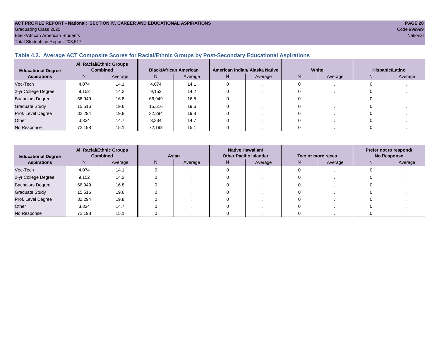#### **ACT PROFILE REPORT - National: SECTION IV, CAREER AND EDUCATIONAL ASPIRATIONS PAGE 28**

Graduating Class 2020 Code 999999 **Black/African American Students** National American Students National American American Students National American Students National American Students National American Students National American Students National American

Total Students in Report: 203,517

### **Table 4.2. Average ACT Composite Scores for Racial/Ethnic Groups by Post-Secondary Educational Aspirations**

| <b>Educational Degree</b> |        | <b>All Racial/Ethnic Groups</b><br><b>Combined</b> |        | <b>Black/African American</b> |    | American Indian/ Alaska Native |   | White   |   | <b>Hispanic/Latino</b> |
|---------------------------|--------|----------------------------------------------------|--------|-------------------------------|----|--------------------------------|---|---------|---|------------------------|
| <b>Aspirations</b>        | N.     | Average                                            | N.     | Average                       | N. | Average                        | N | Average | N | Average                |
| Voc-Tech                  | 4.074  | 14.1                                               | 4,074  | 14.1                          |    |                                |   |         |   |                        |
| 2-yr College Degree       | 9,152  | 14.2                                               | 9,152  | 14.2                          |    |                                |   |         |   |                        |
| <b>Bachelors Degree</b>   | 66,949 | 16.8                                               | 66,949 | 16.8                          |    |                                |   |         |   |                        |
| <b>Graduate Study</b>     | 15,516 | 19.6                                               | 15,516 | 19.6                          |    |                                |   |         |   |                        |
| Prof. Level Degree        | 32,294 | 19.8                                               | 32.294 | 19.8                          |    |                                |   |         |   |                        |
| Other                     | 3,334  | 14.7                                               | 3,334  | 14.7                          |    |                                |   |         |   |                        |
| No Response               | 72,198 | 15.1                                               | 72,198 | 15.1                          |    |                                |   |         |   |                        |

| <b>Educational Degree</b> |        | <b>All Racial/Ethnic Groups</b><br><b>Combined</b> |          | Asian   |    | <b>Native Hawaiian/</b><br><b>Other Pacific Islander</b> |    | Two or more races |   | Prefer not to respond/<br><b>No Response</b> |
|---------------------------|--------|----------------------------------------------------|----------|---------|----|----------------------------------------------------------|----|-------------------|---|----------------------------------------------|
| <b>Aspirations</b>        | N.     | Average                                            | N        | Average | N. | Average                                                  | N. | Average           | N | Average                                      |
| Voc-Tech                  | 4,074  | 14.1                                               | 0        |         |    |                                                          |    |                   |   |                                              |
| 2-yr College Degree       | 9,152  | 14.2                                               | 0        |         |    |                                                          |    |                   |   |                                              |
| <b>Bachelors Degree</b>   | 66,949 | 16.8                                               | $\Omega$ |         |    |                                                          |    |                   |   |                                              |
| <b>Graduate Study</b>     | 15,516 | 19.6                                               |          |         |    |                                                          |    |                   |   |                                              |
| Prof. Level Degree        | 32,294 | 19.8                                               |          |         |    |                                                          |    |                   |   |                                              |
| Other                     | 3,334  | 14.7                                               |          |         |    |                                                          |    |                   |   |                                              |
| No Response               | 72,198 | 15.1                                               |          |         |    |                                                          |    |                   |   |                                              |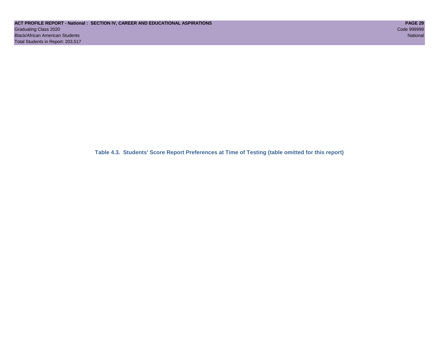**Table 4.3. Students' Score Report Preferences at Time of Testing (table omitted for this report)**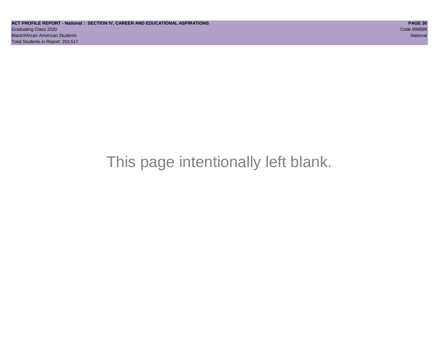### This page intentionally left blank.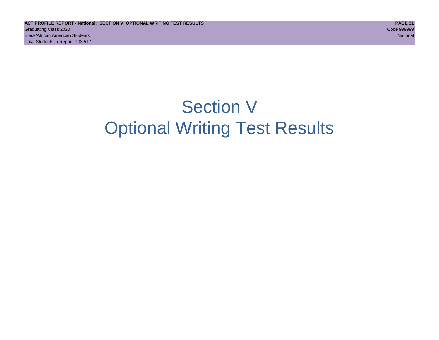## Section V Optional Writing Test Results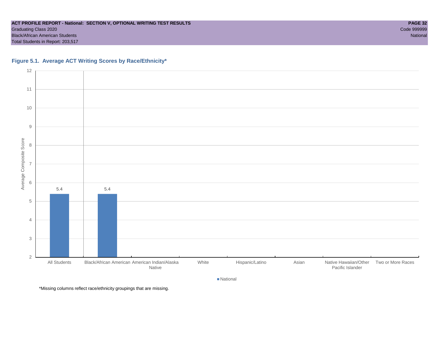



\*Missing columns reflect race/ethnicity groupings that are missing.